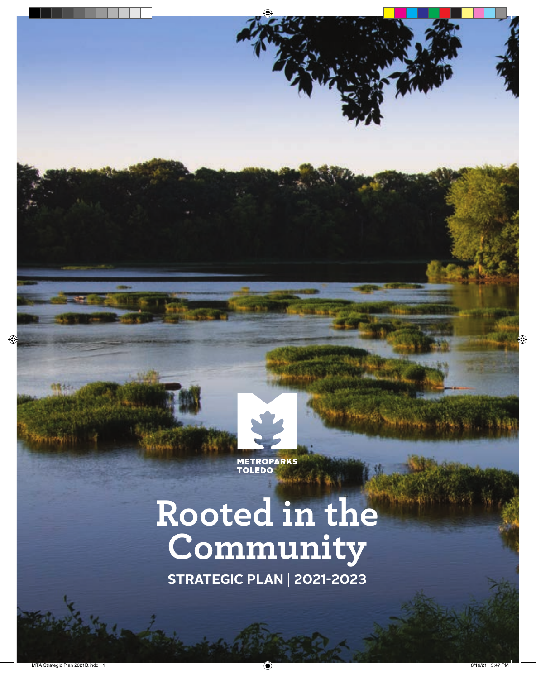

**TEST** 

# **Rooted in the Community**

**strategic plan** | **2021-2023**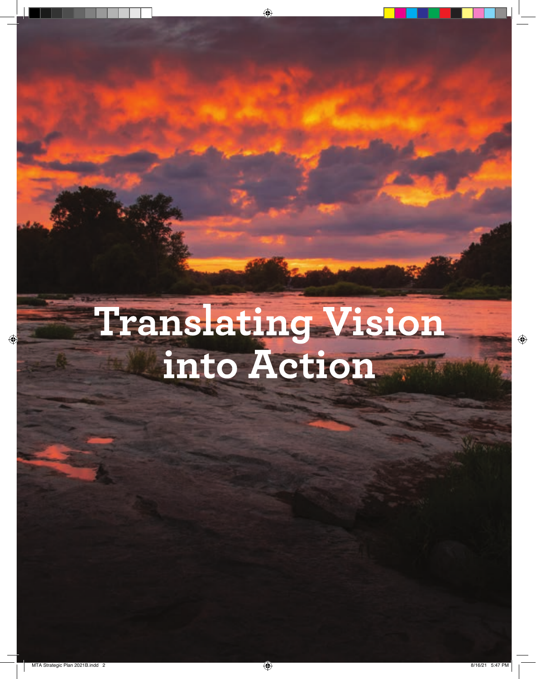# **Translating Vision<br>into Action**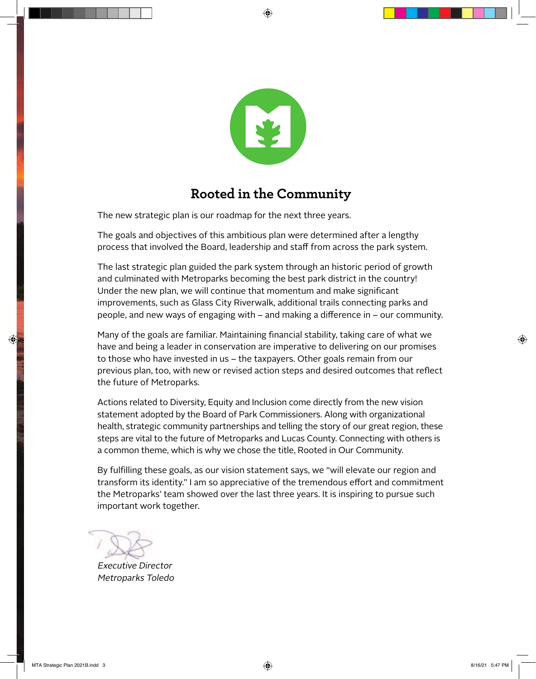

### **Rooted in the Community**

The new strategic plan is our roadmap for the next three years.

The goals and objectives of this ambitious plan were determined after a lengthy process that involved the Board, leadership and staff from across the park system.

The last strategic plan guided the park system through an historic period of growth and culminated with Metroparks becoming the best park district in the country! Under the new plan, we will continue that momentum and make significant improvements, such as Glass City Riverwalk, additional trails connecting parks and people, and new ways of engaging with – and making a difference in – our community.

Many of the goals are familiar. Maintaining financial stability, taking care of what we have and being a leader in conservation are imperative to delivering on our promises to those who have invested in us – the taxpayers. Other goals remain from our previous plan, too, with new or revised action steps and desired outcomes that reflect the future of Metroparks.

Actions related to Diversity, Equity and Inclusion come directly from the new vision statement adopted by the Board of Park Commissioners. Along with organizational health, strategic community partnerships and telling the story of our great region, these steps are vital to the future of Metroparks and Lucas County. Connecting with others is a common theme, which is why we chose the title, Rooted in Our Community.

By fulfilling these goals, as our vision statement says, we "will elevate our region and transform its identity." I am so appreciative of the tremendous effort and commitment the Metroparks' team showed over the last three years. It is inspiring to pursue such important work together.

Dave Zenk

Executive Director Metroparks Toledo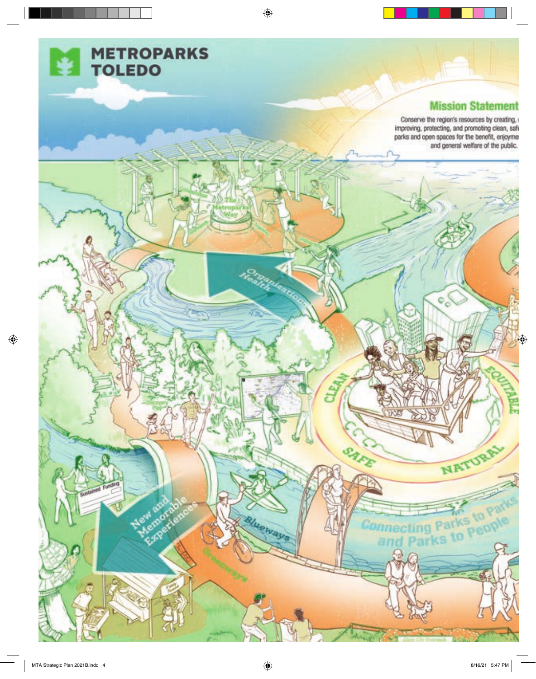

#### **Mission Stateme**

Conserve the region's resources by creating<br>coving, protecting, and promoting clean<br>parks and open spaces for the benefit, enjo<br>and general welfare of the pu

 $\circ$ 

NATURAL

Connecting Parks to Part

SAFE

lueways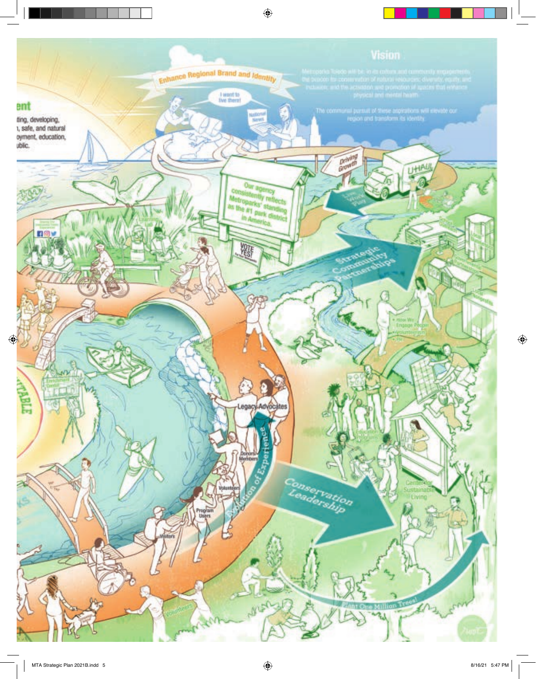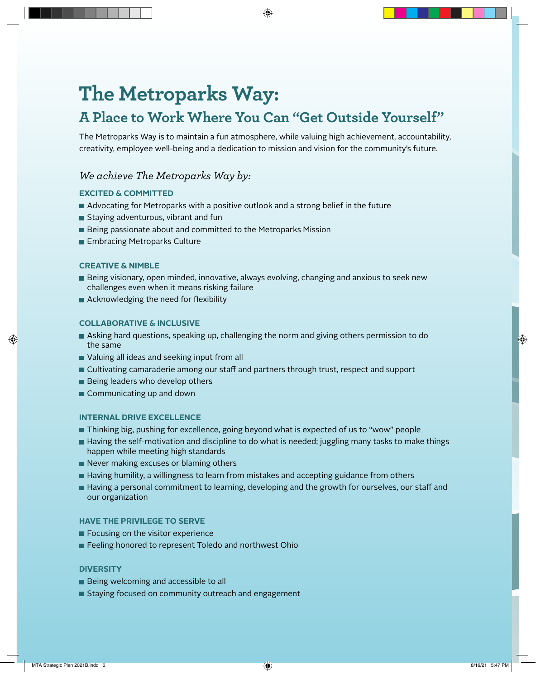## **The Metroparks Way:**

## **A Place to Work Where You Can "Get Outside Yourself"**

The Metroparks Way is to maintain a fun atmosphere, while valuing high achievement, accountability, creativity, employee well-being and a dedication to mission and vision for the community's future.

#### *We achieve The Metroparks Way by:*

#### **Excited & Committed**

- Advocating for Metroparks with a positive outlook and a strong belief in the future
- **Staying adventurous, vibrant and fun**
- Being passionate about and committed to the Metroparks Mission
- **Embracing Metroparks Culture**

#### **Creative & Nimble**

- Being visionary, open minded, innovative, always evolving, changing and anxious to seek new challenges even when it means risking failure
- Acknowledging the need for flexibility

#### **Collaborative & Inclusive**

- Asking hard questions, speaking up, challenging the norm and giving others permission to do the same
- Valuing all ideas and seeking input from all
- Cultivating camaraderie among our staff and partners through trust, respect and support
- Being leaders who develop others
- Communicating up and down

#### **Internal Drive Excellence**

- Thinking big, pushing for excellence, going beyond what is expected of us to "wow" people
- Having the self-motivation and discipline to do what is needed; juggling many tasks to make things happen while meeting high standards
- Never making excuses or blaming others
- Having humility, a willingness to learn from mistakes and accepting guidance from others
- Having a personal commitment to learning, developing and the growth for ourselves, our staff and our organization

#### **Have the Privilege to Serve**

- Focusing on the visitor experience
- Feeling honored to represent Toledo and northwest Ohio

#### **Diversity**

- Being welcoming and accessible to all
- Staying focused on community outreach and engagement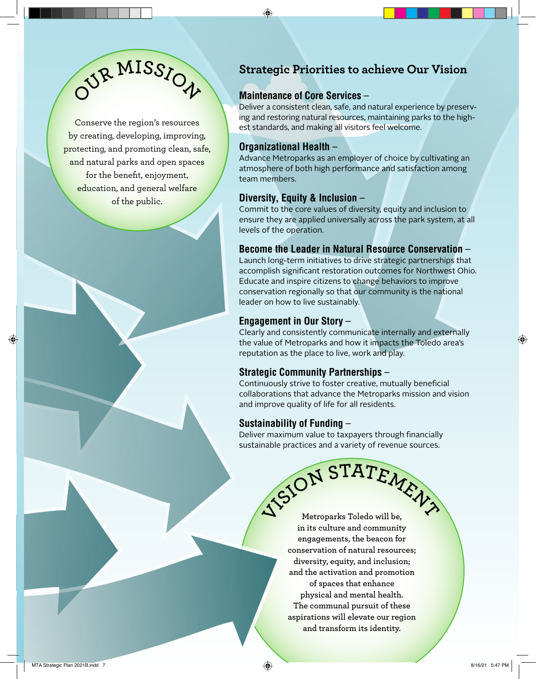

Conserve the region's resources by creating, developing, improving, protecting, and promoting clean, safe, and natural parks and open spaces for the benefit, enjoyment, education, and general welfare of the public.

#### **Strategic Priorities to achieve Our Vision**

#### **Maintenance of Core Services** –

Deliver a consistent clean, safe, and natural experience by preserving and restoring natural resources, maintaining parks to the highest standards, and making all visitors feel welcome.

#### **Organizational Health** –

Advance Metroparks as an employer of choice by cultivating an atmosphere of both high performance and satisfaction among team members.

#### **Diversity, Equity & Inclusion** –

Commit to the core values of diversity, equity and inclusion to ensure they are applied universally across the park system, at all levels of the operation.

#### **Become the Leader in Natural Resource Conservation** –

Launch long-term initiatives to drive strategic partnerships that accomplish significant restoration outcomes for Northwest Ohio. Educate and inspire citizens to change behaviors to improve conservation regionally so that our community is the national leader on how to live sustainably.

#### **Engagement in Our Story** –

Clearly and consistently communicate internally and externally the value of Metroparks and how it impacts the Toledo area's reputation as the place to live, work and play.

#### **Strategic Community Partnerships** –

Continuously strive to foster creative, mutually beneficial collaborations that advance the Metroparks mission and vision and improve quality of life for all residents.

#### **Sustainability of Funding** –

Deliver maximum value to taxpayers through financially sustainable practices and a variety of revenue sources.

> $\sqrt{S}$ **iON** STATEMENT **Metroparks Toledo will be, in its culture and community engagements, the beacon for conservation of natural resources; diversity, equity, and inclusion; and the activation and promotion of spaces that enhance physical and mental health. The communal pursuit of these aspirations will elevate our region and transform its identity.**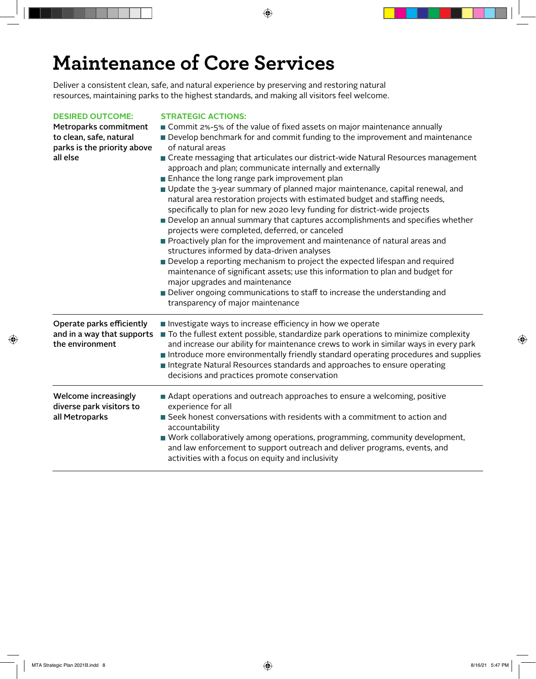## **Maintenance of Core Services**

Deliver a consistent clean, safe, and natural experience by preserving and restoring natural resources, maintaining parks to the highest standards, and making all visitors feel welcome.

#### **DESIRED OUTCOME: STRATEGIC ACTIONS:**

| Develop benchmark for and commit funding to the improvement and maintenance                                                                                                                                                                                                                                                                                                                                                                                                                                                                                                                                                                                                                                                                                                                                                                                                                                                                                                                                                    |
|--------------------------------------------------------------------------------------------------------------------------------------------------------------------------------------------------------------------------------------------------------------------------------------------------------------------------------------------------------------------------------------------------------------------------------------------------------------------------------------------------------------------------------------------------------------------------------------------------------------------------------------------------------------------------------------------------------------------------------------------------------------------------------------------------------------------------------------------------------------------------------------------------------------------------------------------------------------------------------------------------------------------------------|
|                                                                                                                                                                                                                                                                                                                                                                                                                                                                                                                                                                                                                                                                                                                                                                                                                                                                                                                                                                                                                                |
| of natural areas                                                                                                                                                                                                                                                                                                                                                                                                                                                                                                                                                                                                                                                                                                                                                                                                                                                                                                                                                                                                               |
| ■ Create messaging that articulates our district-wide Natural Resources management<br>approach and plan; communicate internally and externally<br>Enhance the long range park improvement plan<br>Update the 3-year summary of planned major maintenance, capital renewal, and<br>natural area restoration projects with estimated budget and staffing needs,<br>specifically to plan for new 2020 levy funding for district-wide projects<br>Develop an annual summary that captures accomplishments and specifies whether<br>projects were completed, deferred, or canceled<br>Proactively plan for the improvement and maintenance of natural areas and<br>structures informed by data-driven analyses<br>Develop a reporting mechanism to project the expected lifespan and required<br>maintenance of significant assets; use this information to plan and budget for<br>major upgrades and maintenance<br>Deliver ongoing communications to staff to increase the understanding and<br>transparency of major maintenance |
| Investigate ways to increase efficiency in how we operate<br>To the fullest extent possible, standardize park operations to minimize complexity<br>and increase our ability for maintenance crews to work in similar ways in every park<br>Introduce more environmentally friendly standard operating procedures and supplies<br>Integrate Natural Resources standards and approaches to ensure operating<br>decisions and practices promote conservation                                                                                                                                                                                                                                                                                                                                                                                                                                                                                                                                                                      |
| Adapt operations and outreach approaches to ensure a welcoming, positive<br>experience for all<br>Seek honest conversations with residents with a commitment to action and<br>accountability<br>■ Work collaboratively among operations, programming, community development,<br>and law enforcement to support outreach and deliver programs, events, and<br>activities with a focus on equity and inclusivity                                                                                                                                                                                                                                                                                                                                                                                                                                                                                                                                                                                                                 |
| and in a way that supports                                                                                                                                                                                                                                                                                                                                                                                                                                                                                                                                                                                                                                                                                                                                                                                                                                                                                                                                                                                                     |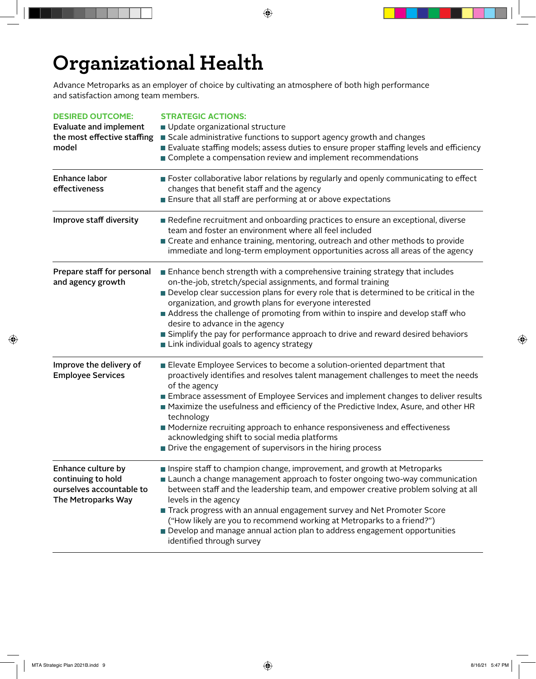## **Organizational Health**

Advance Metroparks as an employer of choice by cultivating an atmosphere of both high performance and satisfaction among team members.

| <b>DESIRED OUTCOME:</b>                                      | <b>STRATEGIC ACTIONS:</b>                                                                                                                                                      |
|--------------------------------------------------------------|--------------------------------------------------------------------------------------------------------------------------------------------------------------------------------|
| <b>Evaluate and implement</b><br>the most effective staffing | Update organizational structure<br>Scale administrative functions to support agency growth and changes                                                                         |
| model                                                        | Evaluate staffing models; assess duties to ensure proper staffing levels and efficiency                                                                                        |
|                                                              | Complete a compensation review and implement recommendations                                                                                                                   |
| Enhance labor                                                | <b>Example 2</b> Foster collaborative labor relations by regularly and openly communicating to effect                                                                          |
| effectiveness                                                | changes that benefit staff and the agency                                                                                                                                      |
|                                                              | Ensure that all staff are performing at or above expectations                                                                                                                  |
| Improve staff diversity                                      | Redefine recruitment and onboarding practices to ensure an exceptional, diverse<br>team and foster an environment where all feel included                                      |
|                                                              | Create and enhance training, mentoring, outreach and other methods to provide<br>immediate and long-term employment opportunities across all areas of the agency               |
| Prepare staff for personal<br>and agency growth              | Enhance bench strength with a comprehensive training strategy that includes<br>on-the-job, stretch/special assignments, and formal training                                    |
|                                                              | Develop clear succession plans for every role that is determined to be critical in the                                                                                         |
|                                                              | organization, and growth plans for everyone interested                                                                                                                         |
|                                                              | Address the challenge of promoting from within to inspire and develop staff who                                                                                                |
|                                                              | desire to advance in the agency                                                                                                                                                |
|                                                              | Simplify the pay for performance approach to drive and reward desired behaviors<br>Link individual goals to agency strategy                                                    |
| Improve the delivery of<br><b>Employee Services</b>          | Elevate Employee Services to become a solution-oriented department that<br>proactively identifies and resolves talent management challenges to meet the needs<br>of the agency |
|                                                              | Embrace assessment of Employee Services and implement changes to deliver results                                                                                               |
|                                                              | A Maximize the usefulness and efficiency of the Predictive Index, Asure, and other HR<br>technology                                                                            |
|                                                              | ■ Modernize recruiting approach to enhance responsiveness and effectiveness<br>acknowledging shift to social media platforms                                                   |
|                                                              | Drive the engagement of supervisors in the hiring process                                                                                                                      |
| Enhance culture by<br>continuing to hold                     | Inspire staff to champion change, improvement, and growth at Metroparks<br>Launch a change management approach to foster ongoing two-way communication                         |
| ourselves accountable to<br>The Metroparks Way               | between staff and the leadership team, and empower creative problem solving at all<br>levels in the agency                                                                     |
|                                                              | Track progress with an annual engagement survey and Net Promoter Score                                                                                                         |
|                                                              | ("How likely are you to recommend working at Metroparks to a friend?")                                                                                                         |
|                                                              | Develop and manage annual action plan to address engagement opportunities<br>identified through survey                                                                         |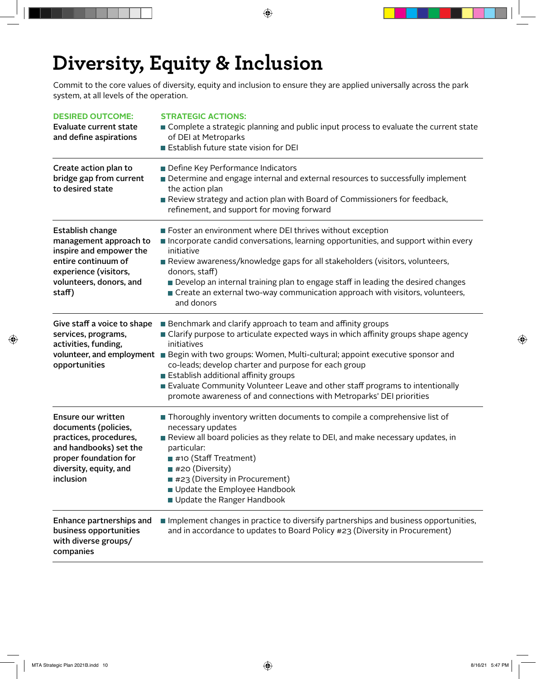## **Diversity, Equity & Inclusion**

Commit to the core values of diversity, equity and inclusion to ensure they are applied universally across the park system, at all levels of the operation.

| <b>DESIRED OUTCOME:</b><br><b>Evaluate current state</b><br>and define aspirations                                                                                | <b>STRATEGIC ACTIONS:</b><br>■ Complete a strategic planning and public input process to evaluate the current state<br>of DEI at Metroparks<br>Establish future state vision for DEI                                                                                                                                                                                                                                                                                                                                                       |
|-------------------------------------------------------------------------------------------------------------------------------------------------------------------|--------------------------------------------------------------------------------------------------------------------------------------------------------------------------------------------------------------------------------------------------------------------------------------------------------------------------------------------------------------------------------------------------------------------------------------------------------------------------------------------------------------------------------------------|
| Create action plan to<br>bridge gap from current<br>to desired state                                                                                              | Define Key Performance Indicators<br>Determine and engage internal and external resources to successfully implement<br>the action plan<br>Review strategy and action plan with Board of Commissioners for feedback,<br>refinement, and support for moving forward                                                                                                                                                                                                                                                                          |
| <b>Establish change</b><br>management approach to<br>inspire and empower the<br>entire continuum of<br>experience (visitors,<br>volunteers, donors, and<br>staff) | Foster an environment where DEI thrives without exception<br>Incorporate candid conversations, learning opportunities, and support within every<br>initiative<br>Review awareness/knowledge gaps for all stakeholders (visitors, volunteers,<br>donors, staff)<br>Develop an internal training plan to engage staff in leading the desired changes<br>Create an external two-way communication approach with visitors, volunteers,<br>and donors                                                                                           |
| Give staff a voice to shape<br>services, programs,<br>activities, funding,<br>opportunities                                                                       | Benchmark and clarify approach to team and affinity groups<br>■ Clarify purpose to articulate expected ways in which affinity groups shape agency<br>initiatives<br>volunteer, and employment <b>E</b> Begin with two groups: Women, Multi-cultural; appoint executive sponsor and<br>co-leads; develop charter and purpose for each group<br>Establish additional affinity groups<br>Evaluate Community Volunteer Leave and other staff programs to intentionally<br>promote awareness of and connections with Metroparks' DEI priorities |
| Ensure our written<br>documents (policies,<br>practices, procedures,<br>and handbooks) set the<br>proper foundation for<br>diversity, equity, and<br>inclusion    | Thoroughly inventory written documents to compile a comprehensive list of<br>necessary updates<br>Review all board policies as they relate to DEI, and make necessary updates, in<br>particular:<br>■ #10 (Staff Treatment)<br>■ #20 (Diversity)<br>#23 (Diversity in Procurement)<br>Update the Employee Handbook<br>Update the Ranger Handbook                                                                                                                                                                                           |
| Enhance partnerships and<br>business opportunities<br>with diverse groups/<br>companies                                                                           | Implement changes in practice to diversify partnerships and business opportunities,<br>and in accordance to updates to Board Policy #23 (Diversity in Procurement)                                                                                                                                                                                                                                                                                                                                                                         |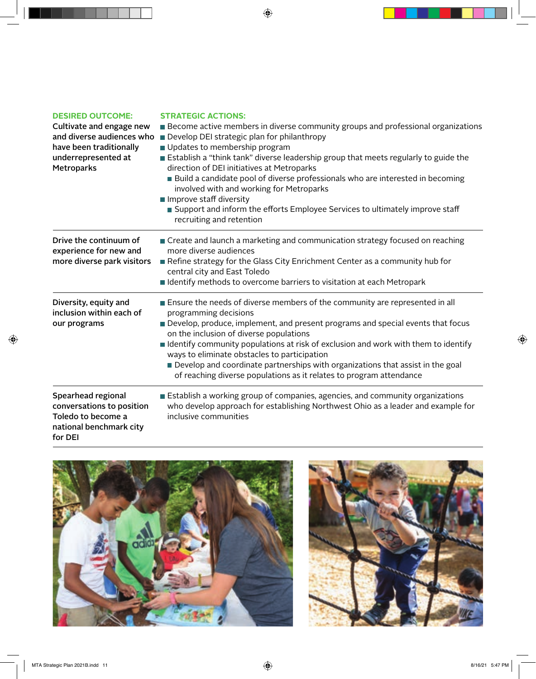| <b>DESIRED OUTCOME:</b>                                                                                     | <b>STRATEGIC ACTIONS:</b>                                                                                                                                                                  |
|-------------------------------------------------------------------------------------------------------------|--------------------------------------------------------------------------------------------------------------------------------------------------------------------------------------------|
| Cultivate and engage new                                                                                    | <b>Become active members in diverse community groups and professional organizations</b>                                                                                                    |
| and diverse audiences who                                                                                   | Develop DEI strategic plan for philanthropy                                                                                                                                                |
| have been traditionally                                                                                     | Updates to membership program                                                                                                                                                              |
| underrepresented at                                                                                         | Establish a "think tank" diverse leadership group that meets regularly to guide the                                                                                                        |
| Metroparks                                                                                                  | direction of DEI initiatives at Metroparks                                                                                                                                                 |
|                                                                                                             | ■ Build a candidate pool of diverse professionals who are interested in becoming<br>involved with and working for Metroparks                                                               |
|                                                                                                             | Improve staff diversity                                                                                                                                                                    |
|                                                                                                             | Support and inform the efforts Employee Services to ultimately improve staff<br>recruiting and retention                                                                                   |
| Drive the continuum of<br>experience for new and                                                            | Create and launch a marketing and communication strategy focused on reaching<br>more diverse audiences                                                                                     |
| more diverse park visitors                                                                                  | Refine strategy for the Glass City Enrichment Center as a community hub for<br>central city and East Toledo                                                                                |
|                                                                                                             | ■ Identify methods to overcome barriers to visitation at each Metropark                                                                                                                    |
| Diversity, equity and<br>inclusion within each of                                                           | <b>Ensure the needs of diverse members of the community are represented in all</b><br>programming decisions                                                                                |
| our programs                                                                                                | Develop, produce, implement, and present programs and special events that focus<br>on the inclusion of diverse populations                                                                 |
|                                                                                                             | ■ Identify community populations at risk of exclusion and work with them to identify<br>ways to eliminate obstacles to participation                                                       |
|                                                                                                             | Develop and coordinate partnerships with organizations that assist in the goal<br>of reaching diverse populations as it relates to program attendance                                      |
| Spearhead regional<br>conversations to position<br>Toledo to become a<br>national benchmark city<br>for DEI | Establish a working group of companies, agencies, and community organizations<br>who develop approach for establishing Northwest Ohio as a leader and example for<br>inclusive communities |



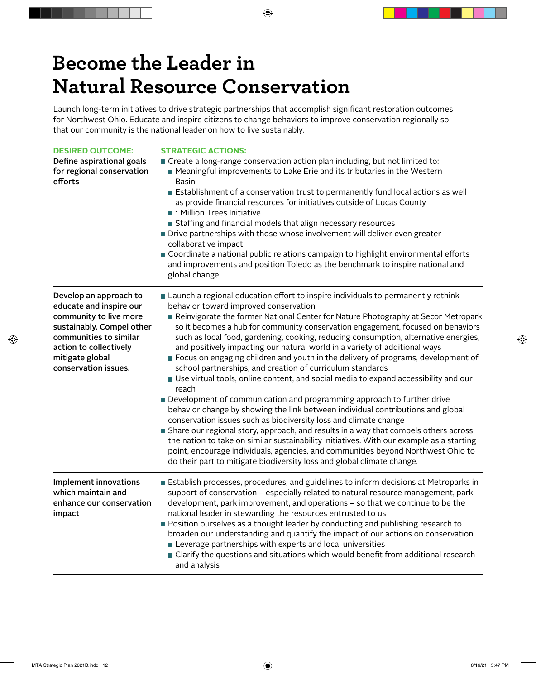## **Become the Leader in Natural Resource Conservation**

Launch long-term initiatives to drive strategic partnerships that accomplish significant restoration outcomes for Northwest Ohio. Educate and inspire citizens to change behaviors to improve conservation regionally so that our community is the national leader on how to live sustainably.

| <b>DESIRED OUTCOME:</b><br>Define aspirational goals<br>for regional conservation<br>efforts                                                                                                            | <b>STRATEGIC ACTIONS:</b><br>Create a long-range conservation action plan including, but not limited to:<br>■ Meaningful improvements to Lake Erie and its tributaries in the Western<br><b>Basin</b><br><b>Establishment of a conservation trust to permanently fund local actions as well</b><br>as provide financial resources for initiatives outside of Lucas County<br>1 Million Trees Initiative<br>Staffing and financial models that align necessary resources<br>Drive partnerships with those whose involvement will deliver even greater<br>collaborative impact<br>Coordinate a national public relations campaign to highlight environmental efforts<br>and improvements and position Toledo as the benchmark to inspire national and<br>global change                                                                                                                                                                                                                                                                                                                                                                                                                                                                                                                                        |
|---------------------------------------------------------------------------------------------------------------------------------------------------------------------------------------------------------|-------------------------------------------------------------------------------------------------------------------------------------------------------------------------------------------------------------------------------------------------------------------------------------------------------------------------------------------------------------------------------------------------------------------------------------------------------------------------------------------------------------------------------------------------------------------------------------------------------------------------------------------------------------------------------------------------------------------------------------------------------------------------------------------------------------------------------------------------------------------------------------------------------------------------------------------------------------------------------------------------------------------------------------------------------------------------------------------------------------------------------------------------------------------------------------------------------------------------------------------------------------------------------------------------------------|
| Develop an approach to<br>educate and inspire our<br>community to live more<br>sustainably. Compel other<br>communities to similar<br>action to collectively<br>mitigate global<br>conservation issues. | ■ Launch a regional education effort to inspire individuals to permanently rethink<br>behavior toward improved conservation<br>Reinvigorate the former National Center for Nature Photography at Secor Metropark<br>so it becomes a hub for community conservation engagement, focused on behaviors<br>such as local food, gardening, cooking, reducing consumption, alternative energies,<br>and positively impacting our natural world in a variety of additional ways<br>Focus on engaging children and youth in the delivery of programs, development of<br>school partnerships, and creation of curriculum standards<br>Use virtual tools, online content, and social media to expand accessibility and our<br>reach<br>Development of communication and programming approach to further drive<br>behavior change by showing the link between individual contributions and global<br>conservation issues such as biodiversity loss and climate change<br>Share our regional story, approach, and results in a way that compels others across<br>the nation to take on similar sustainability initiatives. With our example as a starting<br>point, encourage individuals, agencies, and communities beyond Northwest Ohio to<br>do their part to mitigate biodiversity loss and global climate change. |
| <b>Implement innovations</b><br>which maintain and<br>enhance our conservation<br>impact                                                                                                                | Establish processes, procedures, and guidelines to inform decisions at Metroparks in<br>support of conservation - especially related to natural resource management, park<br>development, park improvement, and operations – so that we continue to be the<br>national leader in stewarding the resources entrusted to us<br>Position ourselves as a thought leader by conducting and publishing research to<br>broaden our understanding and quantify the impact of our actions on conservation<br>Leverage partnerships with experts and local universities<br>■ Clarify the questions and situations which would benefit from additional research<br>and analysis                                                                                                                                                                                                                                                                                                                                                                                                                                                                                                                                                                                                                                        |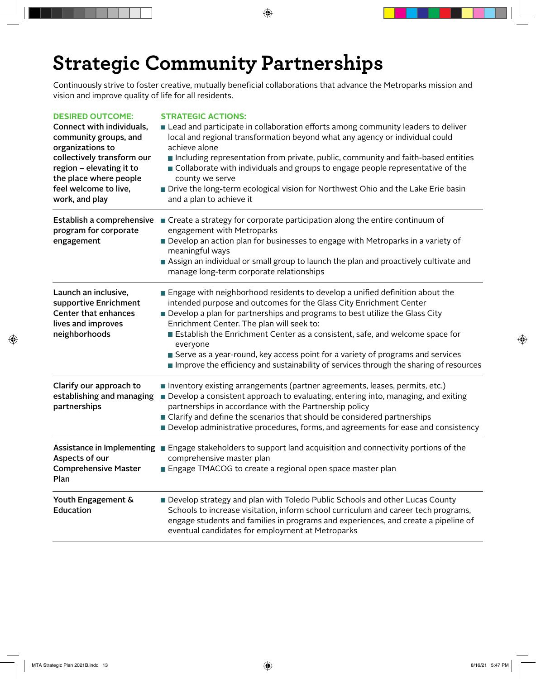## **Strategic Community Partnerships**

Continuously strive to foster creative, mutually beneficial collaborations that advance the Metroparks mission and vision and improve quality of life for all residents.

#### **DESIRED OUTCOME : STRATEGIC ACTIONS :**

| Connect with individuals,<br>community groups, and<br>organizations to<br>collectively transform our<br>region - elevating it to<br>the place where people<br>feel welcome to live,<br>work, and play | Lead and participate in collaboration efforts among community leaders to deliver<br>local and regional transformation beyond what any agency or individual could<br>achieve alone<br>Including representation from private, public, community and faith-based entities<br>Ollaborate with individuals and groups to engage people representative of the<br>county we serve<br>Drive the long-term ecological vision for Northwest Ohio and the Lake Erie basin<br>and a plan to achieve it                                                             |
|-------------------------------------------------------------------------------------------------------------------------------------------------------------------------------------------------------|--------------------------------------------------------------------------------------------------------------------------------------------------------------------------------------------------------------------------------------------------------------------------------------------------------------------------------------------------------------------------------------------------------------------------------------------------------------------------------------------------------------------------------------------------------|
| Establish a comprehensive<br>program for corporate<br>engagement                                                                                                                                      | Create a strategy for corporate participation along the entire continuum of<br>engagement with Metroparks<br>Develop an action plan for businesses to engage with Metroparks in a variety of<br>meaningful ways<br>Assign an individual or small group to launch the plan and proactively cultivate and<br>manage long-term corporate relationships                                                                                                                                                                                                    |
| Launch an inclusive,<br>supportive Enrichment<br><b>Center that enhances</b><br>lives and improves<br>neighborhoods                                                                                   | Engage with neighborhood residents to develop a unified definition about the<br>intended purpose and outcomes for the Glass City Enrichment Center<br>Develop a plan for partnerships and programs to best utilize the Glass City<br>Enrichment Center. The plan will seek to:<br>Establish the Enrichment Center as a consistent, safe, and welcome space for<br>everyone<br>Serve as a year-round, key access point for a variety of programs and services<br>Improve the efficiency and sustainability of services through the sharing of resources |
| Clarify our approach to<br>establishing and managing<br>partnerships                                                                                                                                  | Inventory existing arrangements (partner agreements, leases, permits, etc.)<br>Develop a consistent approach to evaluating, entering into, managing, and exiting<br>partnerships in accordance with the Partnership policy<br>■ Clarify and define the scenarios that should be considered partnerships<br>Develop administrative procedures, forms, and agreements for ease and consistency                                                                                                                                                           |
| Aspects of our<br><b>Comprehensive Master</b><br>Plan                                                                                                                                                 | Assistance in Implementing Engage stakeholders to support land acquisition and connectivity portions of the<br>comprehensive master plan<br>Engage TMACOG to create a regional open space master plan                                                                                                                                                                                                                                                                                                                                                  |
| Youth Engagement &<br>Education                                                                                                                                                                       | Develop strategy and plan with Toledo Public Schools and other Lucas County<br>Schools to increase visitation, inform school curriculum and career tech programs,<br>engage students and families in programs and experiences, and create a pipeline of<br>eventual candidates for employment at Metroparks                                                                                                                                                                                                                                            |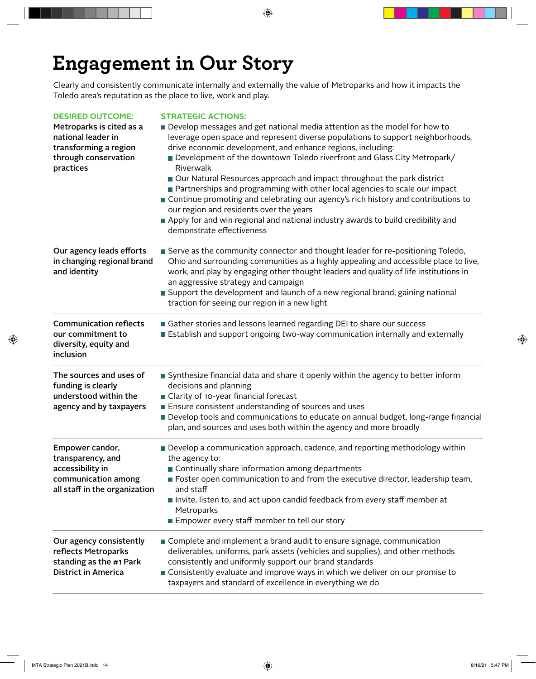## **Engagement in Our Story**

Clearly and consistently communicate internally and externally the value of Metroparks and how it impacts the Toledo area's reputation as the place to live, work and play.

| <b>DESIRED OUTCOME:</b><br>Metroparks is cited as a<br>national leader in                                        | <b>STRATEGIC ACTIONS:</b><br>Develop messages and get national media attention as the model for how to<br>leverage open space and represent diverse populations to support neighborhoods,                                                                                                                                                                                                                                                |
|------------------------------------------------------------------------------------------------------------------|------------------------------------------------------------------------------------------------------------------------------------------------------------------------------------------------------------------------------------------------------------------------------------------------------------------------------------------------------------------------------------------------------------------------------------------|
| transforming a region<br>through conservation<br>practices                                                       | drive economic development, and enhance regions, including:<br>Development of the downtown Toledo riverfront and Glass City Metropark/<br>Riverwalk                                                                                                                                                                                                                                                                                      |
|                                                                                                                  | Our Natural Resources approach and impact throughout the park district<br>Partnerships and programming with other local agencies to scale our impact<br>Continue promoting and celebrating our agency's rich history and contributions to<br>our region and residents over the years<br>Apply for and win regional and national industry awards to build credibility and<br>demonstrate effectiveness                                    |
| Our agency leads efforts<br>in changing regional brand<br>and identity                                           | ■ Serve as the community connector and thought leader for re-positioning Toledo,<br>Ohio and surrounding communities as a highly appealing and accessible place to live,<br>work, and play by engaging other thought leaders and quality of life institutions in<br>an aggressive strategy and campaign<br>Support the development and launch of a new regional brand, gaining national<br>traction for seeing our region in a new light |
| <b>Communication reflects</b><br>our commitment to<br>diversity, equity and<br>inclusion                         | Gather stories and lessons learned regarding DEI to share our success<br>Establish and support ongoing two-way communication internally and externally                                                                                                                                                                                                                                                                                   |
| The sources and uses of<br>funding is clearly<br>understood within the<br>agency and by taxpayers                | Synthesize financial data and share it openly within the agency to better inform<br>decisions and planning<br>Clarity of 10-year financial forecast<br>Ensure consistent understanding of sources and uses<br>Develop tools and communications to educate on annual budget, long-range financial<br>plan, and sources and uses both within the agency and more broadly                                                                   |
| Empower candor,<br>transparency, and<br>accessibility in<br>communication among<br>all staff in the organization | Develop a communication approach, cadence, and reporting methodology within<br>the agency to:<br>Continually share information among departments<br>■ Foster open communication to and from the executive director, leadership team,<br>and staff<br>Invite, listen to, and act upon candid feedback from every staff member at<br>Metroparks<br>Empower every staff member to tell our story                                            |
| Our agency consistently<br>reflects Metroparks<br>standing as the #1 Park<br><b>District in America</b>          | Complete and implement a brand audit to ensure signage, communication<br>deliverables, uniforms, park assets (vehicles and supplies), and other methods<br>consistently and uniformly support our brand standards<br>Consistently evaluate and improve ways in which we deliver on our promise to<br>taxpayers and standard of excellence in everything we do                                                                            |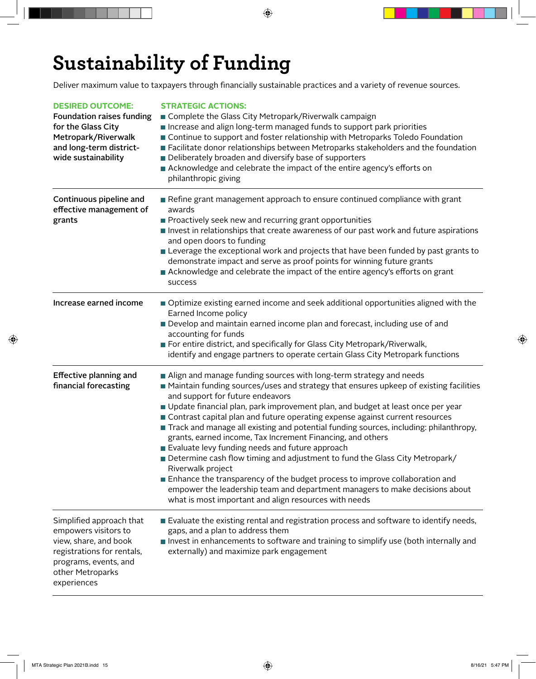## **Sustainability of Funding**

Deliver maximum value to taxpayers through financially sustainable practices and a variety of revenue sources.

| <b>DESIRED OUTCOME:</b><br><b>Foundation raises funding</b><br>for the Glass City<br>Metropark/Riverwalk<br>and long-term district-<br>wide sustainability          | <b>STRATEGIC ACTIONS:</b><br>■ Complete the Glass City Metropark/Riverwalk campaign<br>Increase and align long-term managed funds to support park priorities<br>Continue to support and foster relationship with Metroparks Toledo Foundation<br>■ Facilitate donor relationships between Metroparks stakeholders and the foundation<br>Deliberately broaden and diversify base of supporters<br>Acknowledge and celebrate the impact of the entire agency's efforts on<br>philanthropic giving                                                                                                                                                                                                                                                                                                                                                                                                         |
|---------------------------------------------------------------------------------------------------------------------------------------------------------------------|---------------------------------------------------------------------------------------------------------------------------------------------------------------------------------------------------------------------------------------------------------------------------------------------------------------------------------------------------------------------------------------------------------------------------------------------------------------------------------------------------------------------------------------------------------------------------------------------------------------------------------------------------------------------------------------------------------------------------------------------------------------------------------------------------------------------------------------------------------------------------------------------------------|
| Continuous pipeline and<br>effective management of<br>grants                                                                                                        | Refine grant management approach to ensure continued compliance with grant<br>awards<br>Proactively seek new and recurring grant opportunities<br>Invest in relationships that create awareness of our past work and future aspirations<br>and open doors to funding<br><b>Example 2</b> Leverage the exceptional work and projects that have been funded by past grants to<br>demonstrate impact and serve as proof points for winning future grants<br>Acknowledge and celebrate the impact of the entire agency's efforts on grant<br>success                                                                                                                                                                                                                                                                                                                                                        |
| Increase earned income                                                                                                                                              | Optimize existing earned income and seek additional opportunities aligned with the<br>Earned Income policy<br>Develop and maintain earned income plan and forecast, including use of and<br>accounting for funds<br>For entire district, and specifically for Glass City Metropark/Riverwalk,<br>identify and engage partners to operate certain Glass City Metropark functions                                                                                                                                                                                                                                                                                                                                                                                                                                                                                                                         |
| <b>Effective planning and</b><br>financial forecasting                                                                                                              | Align and manage funding sources with long-term strategy and needs<br>Maintain funding sources/uses and strategy that ensures upkeep of existing facilities<br>and support for future endeavors<br>Update financial plan, park improvement plan, and budget at least once per year<br>Contrast capital plan and future operating expense against current resources<br>Track and manage all existing and potential funding sources, including: philanthropy,<br>grants, earned income, Tax Increment Financing, and others<br>Evaluate levy funding needs and future approach<br>Determine cash flow timing and adjustment to fund the Glass City Metropark/<br>Riverwalk project<br>Enhance the transparency of the budget process to improve collaboration and<br>empower the leadership team and department managers to make decisions about<br>what is most important and align resources with needs |
| Simplified approach that<br>empowers visitors to<br>view, share, and book<br>registrations for rentals,<br>programs, events, and<br>other Metroparks<br>experiences | Evaluate the existing rental and registration process and software to identify needs,<br>gaps, and a plan to address them<br>Invest in enhancements to software and training to simplify use (both internally and<br>externally) and maximize park engagement                                                                                                                                                                                                                                                                                                                                                                                                                                                                                                                                                                                                                                           |